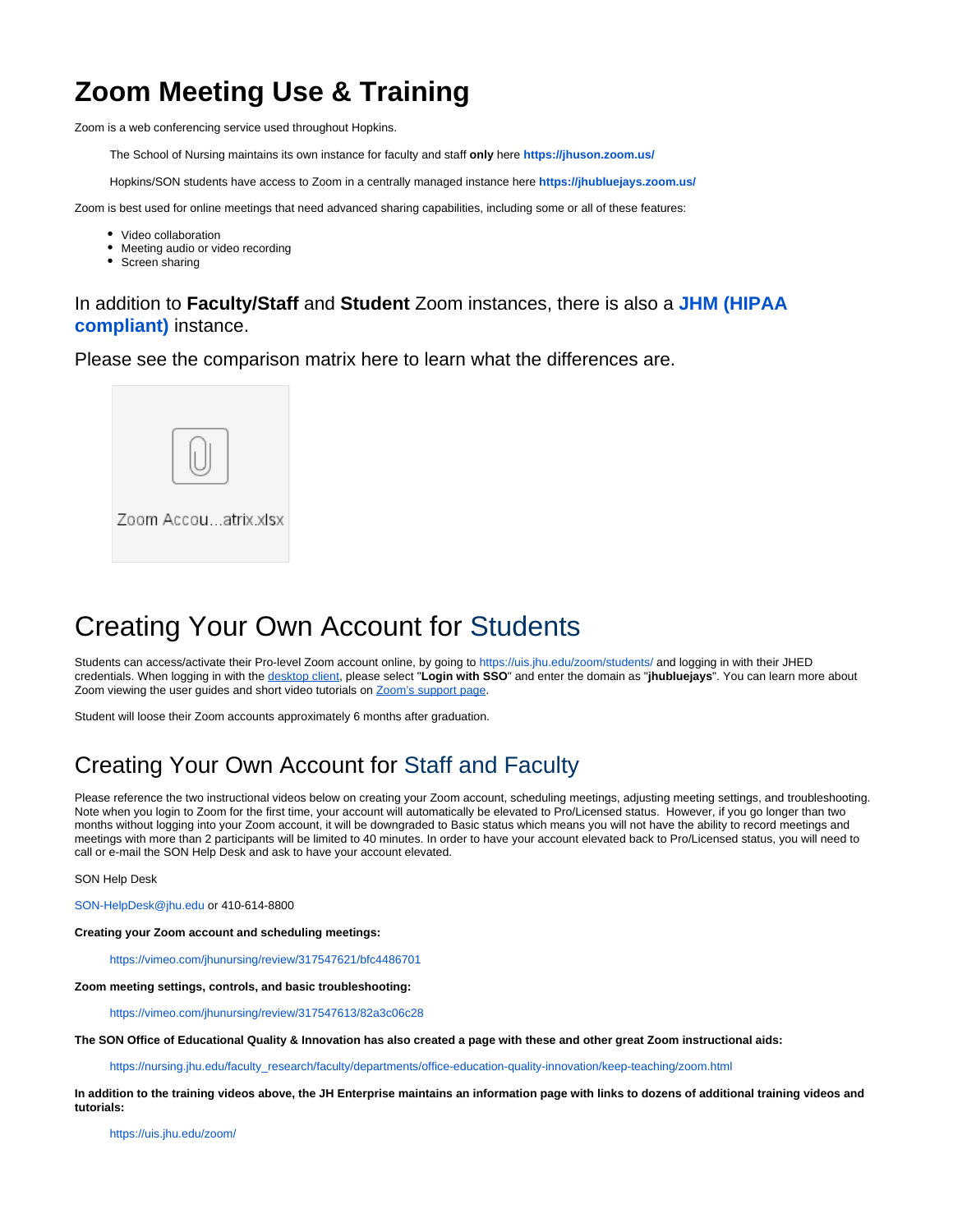# **Zoom Meeting Use & Training**

Zoom is a web conferencing service used throughout Hopkins.

The School of Nursing maintains its own instance for faculty and staff **only** here **<https://jhuson.zoom.us/>**

Hopkins/SON students have access to Zoom in a centrally managed instance here **<https://jhubluejays.zoom.us/>**

Zoom is best used for online meetings that need advanced sharing capabilities, including some or all of these features:

- Video collaboration
- Meeting audio or video recording
- Screen sharing

#### In addition to **Faculty/Staff** and **Student** Zoom instances, there is also a **[JHM \(HIPAA](https://jhjhm.zoom.us/)  [compliant\)](https://jhjhm.zoom.us/)** instance.

Please see the comparison matrix here to learn what the differences are.



# Creating Your Own Account for Students

Students can access/activate their Pro-level Zoom account online, by going to<https://uis.jhu.edu/zoom/students/>and logging in with their JHED credentials. When logging in with the [desktop client](https://uis.jhu.edu/zoom/students/zoom-desktop-client-setup-for-students/), please select "**Login with SSO**" and enter the domain as "**jhubluejays**". You can learn more about Zoom viewing the user guides and short video tutorials on [Zoom's support page](https://support.zoom.us/hc/en-us).

Student will loose their Zoom accounts approximately 6 months after graduation.

### Creating Your Own Account for Staff and Faculty

Please reference the two instructional videos below on creating your Zoom account, scheduling meetings, adjusting meeting settings, and troubleshooting. Note when you login to Zoom for the first time, your account will automatically be elevated to Pro/Licensed status. However, if you go longer than two months without logging into your Zoom account, it will be downgraded to Basic status which means you will not have the ability to record meetings and meetings with more than 2 participants will be limited to 40 minutes. In order to have your account elevated back to Pro/Licensed status, you will need to call or e-mail the SON Help Desk and ask to have your account elevated.

SON Help Desk

[SON-HelpDesk@jhu.edu](mailto:SON-HelpDesk@jhu.edu) or 410-614-8800

**Creating your Zoom account and scheduling meetings:**

<https://vimeo.com/jhunursing/review/317547621/bfc4486701>

**Zoom meeting settings, controls, and basic troubleshooting:**

<https://vimeo.com/jhunursing/review/317547613/82a3c06c28>

**The SON Office of Educational Quality & Innovation has also created a page with these and other great Zoom instructional aids:**

[https://nursing.jhu.edu/faculty\\_research/faculty/departments/office-education-quality-innovation/keep-teaching/zoom.html](https://nursing.jhu.edu/faculty_research/faculty/departments/office-education-quality-innovation/keep-teaching/zoom.html)

**In addition to the training videos above, the JH Enterprise maintains an information page with links to dozens of additional training videos and tutorials:**

<https://uis.jhu.edu/zoom/>